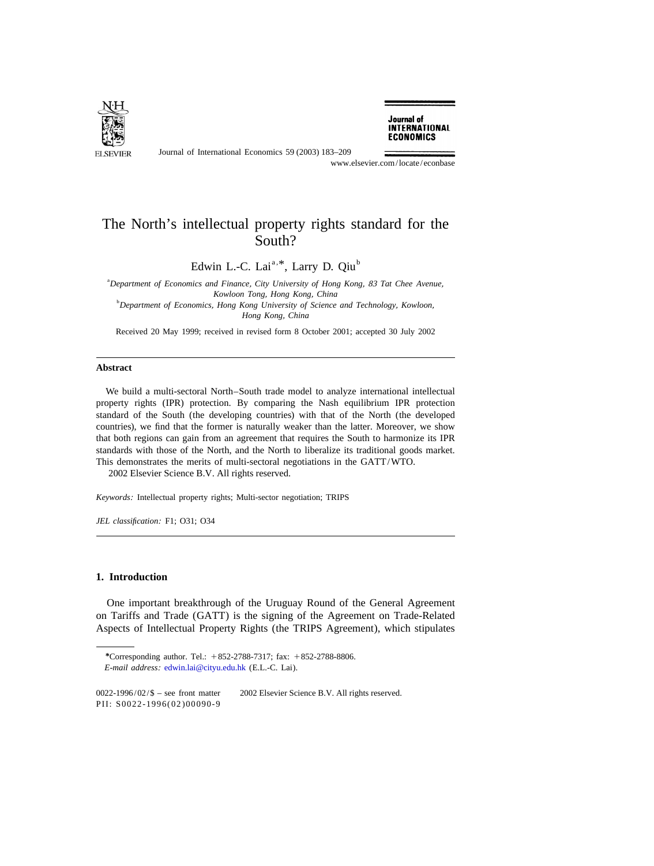

Journal of International Economics 59 (2003) 183–209

Journal of **INTERNATIONAL ECONOMICS** 

www.elsevier.com/locate/econbase

## The North's intellectual property rights standard for the South?

Edwin L.-C. Lai<sup>a,\*</sup>, Larry D. Qiu<sup>b</sup>

a *Department of Economics and Finance*, *City University of Hong Kong*, <sup>83</sup> *Tat Chee Avenue*, *Kowloon Tong*, *Hong Kong*, *China* b *Department of Economics*, *Hong Kong University of Science and Technology*, *Kowloon*, *Hong Kong*, *China*

Received 20 May 1999; received in revised form 8 October 2001; accepted 30 July 2002

## **Abstract**

We build a multi-sectoral North–South trade model to analyze international intellectual property rights (IPR) protection. By comparing the Nash equilibrium IPR protection standard of the South (the developing countries) with that of the North (the developed countries), we find that the former is naturally weaker than the latter. Moreover, we show that both regions can gain from an agreement that requires the South to harmonize its IPR standards with those of the North, and the North to liberalize its traditional goods market. This demonstrates the merits of multi-sectoral negotiations in the GATT/WTO. 2002 Elsevier Science B.V. All rights reserved.

*Keywords*: Intellectual property rights; Multi-sector negotiation; TRIPS

*JEL classification*: F1; O31; O34

## **1. Introduction**

One important breakthrough of the Uruguay Round of the General Agreement on Tariffs and Trade (GATT) is the signing of the Agreement on Trade-Related Aspects of Intellectual Property Rights (the TRIPS Agreement), which stipulates

*<sup>\*</sup>*Corresponding author. Tel.: 1852-2788-7317; fax: 1852-2788-8806. *E*-*mail address*: [edwin.lai@cityu.edu.hk](mailto:edwin.lai@cityu.edu.hk) (E.L.-C. Lai).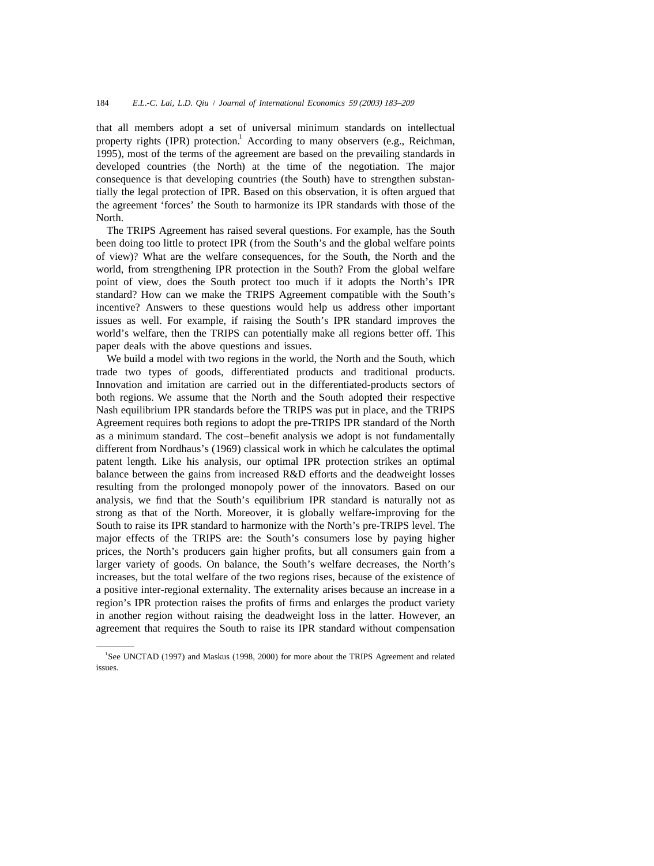that all members adopt a set of universal minimum standards on intellectual property rights (IPR) protection.<sup>1</sup> According to many observers (e.g., Reichman, 1995), most of the terms of the agreement are based on the prevailing standards in developed countries (the North) at the time of the negotiation. The major consequence is that developing countries (the South) have to strengthen substantially the legal protection of IPR. Based on this observation, it is often argued that the agreement 'forces' the South to harmonize its IPR standards with those of the North.

The TRIPS Agreement has raised several questions. For example, has the South been doing too little to protect IPR (from the South's and the global welfare points of view)? What are the welfare consequences, for the South, the North and the world, from strengthening IPR protection in the South? From the global welfare point of view, does the South protect too much if it adopts the North's IPR standard? How can we make the TRIPS Agreement compatible with the South's incentive? Answers to these questions would help us address other important issues as well. For example, if raising the South's IPR standard improves the world's welfare, then the TRIPS can potentially make all regions better off. This paper deals with the above questions and issues.

We build a model with two regions in the world, the North and the South, which trade two types of goods, differentiated products and traditional products. Innovation and imitation are carried out in the differentiated-products sectors of both regions. We assume that the North and the South adopted their respective Nash equilibrium IPR standards before the TRIPS was put in place, and the TRIPS Agreement requires both regions to adopt the pre-TRIPS IPR standard of the North as a minimum standard. The cost–benefit analysis we adopt is not fundamentally different from Nordhaus's (1969) classical work in which he calculates the optimal patent length. Like his analysis, our optimal IPR protection strikes an optimal balance between the gains from increased R&D efforts and the deadweight losses resulting from the prolonged monopoly power of the innovators. Based on our analysis, we find that the South's equilibrium IPR standard is naturally not as strong as that of the North. Moreover, it is globally welfare-improving for the South to raise its IPR standard to harmonize with the North's pre-TRIPS level. The major effects of the TRIPS are: the South's consumers lose by paying higher prices, the North's producers gain higher profits, but all consumers gain from a larger variety of goods. On balance, the South's welfare decreases, the North's increases, but the total welfare of the two regions rises, because of the existence of a positive inter-regional externality. The externality arises because an increase in a region's IPR protection raises the profits of firms and enlarges the product variety in another region without raising the deadweight loss in the latter. However, an agreement that requires the South to raise its IPR standard without compensation

<sup>&</sup>lt;sup>1</sup>See UNCTAD (1997) and Maskus (1998, 2000) for more about the TRIPS Agreement and related issues.